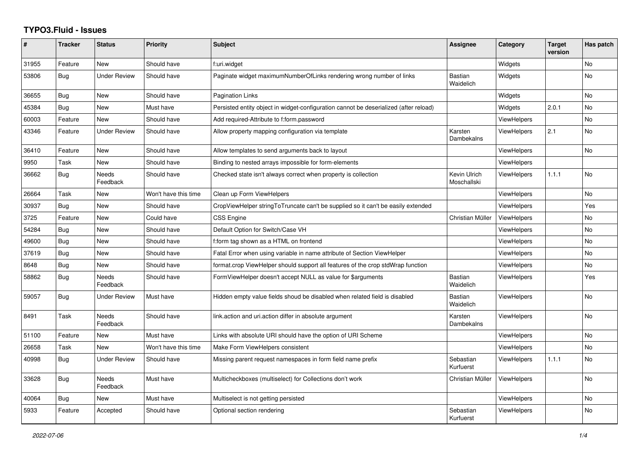## **TYPO3.Fluid - Issues**

| #     | <b>Tracker</b> | <b>Status</b>            | Priority             | <b>Subject</b>                                                                        | Assignee                    | Category           | <b>Target</b><br>version | Has patch |
|-------|----------------|--------------------------|----------------------|---------------------------------------------------------------------------------------|-----------------------------|--------------------|--------------------------|-----------|
| 31955 | Feature        | New                      | Should have          | f:uri.widget                                                                          |                             | Widgets            |                          | <b>No</b> |
| 53806 | Bug            | <b>Under Review</b>      | Should have          | Paginate widget maximumNumberOfLinks rendering wrong number of links                  | <b>Bastian</b><br>Waidelich | Widgets            |                          | <b>No</b> |
| 36655 | <b>Bug</b>     | <b>New</b>               | Should have          | <b>Pagination Links</b>                                                               |                             | Widgets            |                          | <b>No</b> |
| 45384 | Bug            | New                      | Must have            | Persisted entity object in widget-configuration cannot be deserialized (after reload) |                             | Widgets            | 2.0.1                    | No        |
| 60003 | Feature        | <b>New</b>               | Should have          | Add required-Attribute to f:form.password                                             |                             | <b>ViewHelpers</b> |                          | <b>No</b> |
| 43346 | Feature        | <b>Under Review</b>      | Should have          | Allow property mapping configuration via template                                     | Karsten<br>Dambekalns       | <b>ViewHelpers</b> | 2.1                      | No        |
| 36410 | Feature        | New                      | Should have          | Allow templates to send arguments back to layout                                      |                             | <b>ViewHelpers</b> |                          | <b>No</b> |
| 9950  | Task           | New                      | Should have          | Binding to nested arrays impossible for form-elements                                 |                             | <b>ViewHelpers</b> |                          |           |
| 36662 | <b>Bug</b>     | Needs<br>Feedback        | Should have          | Checked state isn't always correct when property is collection                        | Kevin Ulrich<br>Moschallski | <b>ViewHelpers</b> | 1.1.1                    | No        |
| 26664 | Task           | New                      | Won't have this time | Clean up Form ViewHelpers                                                             |                             | <b>ViewHelpers</b> |                          | <b>No</b> |
| 30937 | Bug            | <b>New</b>               | Should have          | CropViewHelper stringToTruncate can't be supplied so it can't be easily extended      |                             | <b>ViewHelpers</b> |                          | Yes       |
| 3725  | Feature        | New                      | Could have           | <b>CSS Engine</b>                                                                     | Christian Müller            | ViewHelpers        |                          | <b>No</b> |
| 54284 | Bug            | New                      | Should have          | Default Option for Switch/Case VH                                                     |                             | <b>ViewHelpers</b> |                          | No        |
| 49600 | Bug            | <b>New</b>               | Should have          | f:form tag shown as a HTML on frontend                                                |                             | <b>ViewHelpers</b> |                          | <b>No</b> |
| 37619 | Bug            | New                      | Should have          | Fatal Error when using variable in name attribute of Section ViewHelper               |                             | <b>ViewHelpers</b> |                          | <b>No</b> |
| 8648  | Bug            | New                      | Should have          | format.crop ViewHelper should support all features of the crop stdWrap function       |                             | <b>ViewHelpers</b> |                          | No        |
| 58862 | <b>Bug</b>     | <b>Needs</b><br>Feedback | Should have          | FormViewHelper doesn't accept NULL as value for \$arguments                           | <b>Bastian</b><br>Waidelich | <b>ViewHelpers</b> |                          | Yes       |
| 59057 | <b>Bug</b>     | <b>Under Review</b>      | Must have            | Hidden empty value fields shoud be disabled when related field is disabled            | Bastian<br>Waidelich        | <b>ViewHelpers</b> |                          | <b>No</b> |
| 8491  | Task           | Needs<br>Feedback        | Should have          | link.action and uri.action differ in absolute argument                                | Karsten<br>Dambekalns       | <b>ViewHelpers</b> |                          | No        |
| 51100 | Feature        | <b>New</b>               | Must have            | Links with absolute URI should have the option of URI Scheme                          |                             | <b>ViewHelpers</b> |                          | <b>No</b> |
| 26658 | Task           | <b>New</b>               | Won't have this time | Make Form ViewHelpers consistent                                                      |                             | <b>ViewHelpers</b> |                          | <b>No</b> |
| 40998 | Bug            | <b>Under Review</b>      | Should have          | Missing parent request namespaces in form field name prefix                           | Sebastian<br>Kurfuerst      | <b>ViewHelpers</b> | 1.1.1                    | <b>No</b> |
| 33628 | <b>Bug</b>     | Needs<br>Feedback        | Must have            | Multicheckboxes (multiselect) for Collections don't work                              | Christian Müller            | <b>ViewHelpers</b> |                          | <b>No</b> |
| 40064 | Bug            | <b>New</b>               | Must have            | Multiselect is not getting persisted                                                  |                             | <b>ViewHelpers</b> |                          | <b>No</b> |
| 5933  | Feature        | Accepted                 | Should have          | Optional section rendering                                                            | Sebastian<br>Kurfuerst      | <b>ViewHelpers</b> |                          | <b>No</b> |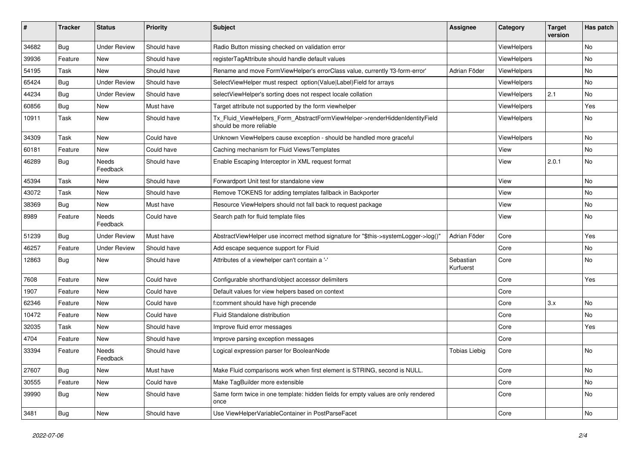| #     | <b>Tracker</b> | <b>Status</b>       | <b>Priority</b> | <b>Subject</b>                                                                                         | Assignee               | Category    | <b>Target</b><br>version | Has patch |
|-------|----------------|---------------------|-----------------|--------------------------------------------------------------------------------------------------------|------------------------|-------------|--------------------------|-----------|
| 34682 | <b>Bug</b>     | <b>Under Review</b> | Should have     | Radio Button missing checked on validation error                                                       |                        | ViewHelpers |                          | <b>No</b> |
| 39936 | Feature        | New                 | Should have     | registerTagAttribute should handle default values                                                      |                        | ViewHelpers |                          | No        |
| 54195 | Task           | New                 | Should have     | Rename and move FormViewHelper's errorClass value, currently 'f3-form-error'                           | Adrian Föder           | ViewHelpers |                          | No        |
| 65424 | Bug            | <b>Under Review</b> | Should have     | SelectViewHelper must respect option(Value Label)Field for arrays                                      |                        | ViewHelpers |                          | <b>No</b> |
| 44234 | <b>Bug</b>     | Under Review        | Should have     | selectViewHelper's sorting does not respect locale collation                                           |                        | ViewHelpers | 2.1                      | No        |
| 60856 | <b>Bug</b>     | New                 | Must have       | Target attribute not supported by the form viewhelper                                                  |                        | ViewHelpers |                          | Yes       |
| 10911 | Task           | New                 | Should have     | Tx_Fluid_ViewHelpers_Form_AbstractFormViewHelper->renderHiddenIdentityField<br>should be more reliable |                        | ViewHelpers |                          | No        |
| 34309 | Task           | New                 | Could have      | Unknown ViewHelpers cause exception - should be handled more graceful                                  |                        | ViewHelpers |                          | No        |
| 60181 | Feature        | New                 | Could have      | Caching mechanism for Fluid Views/Templates                                                            |                        | View        |                          | <b>No</b> |
| 46289 | Bug            | Needs<br>Feedback   | Should have     | Enable Escaping Interceptor in XML request format                                                      |                        | View        | 2.0.1                    | No        |
| 45394 | Task           | New                 | Should have     | Forwardport Unit test for standalone view                                                              |                        | View        |                          | No        |
| 43072 | Task           | New                 | Should have     | Remove TOKENS for adding templates fallback in Backporter                                              |                        | View        |                          | No        |
| 38369 | Bug            | New                 | Must have       | Resource ViewHelpers should not fall back to request package                                           |                        | View        |                          | No        |
| 8989  | Feature        | Needs<br>Feedback   | Could have      | Search path for fluid template files                                                                   |                        | View        |                          | No        |
| 51239 | <b>Bug</b>     | <b>Under Review</b> | Must have       | AbstractViewHelper use incorrect method signature for "\$this->systemLogger->log()"                    | Adrian Föder           | Core        |                          | Yes       |
| 46257 | Feature        | <b>Under Review</b> | Should have     | Add escape sequence support for Fluid                                                                  |                        | Core        |                          | No        |
| 12863 | <b>Bug</b>     | New                 | Should have     | Attributes of a viewhelper can't contain a '-'                                                         | Sebastian<br>Kurfuerst | Core        |                          | <b>No</b> |
| 7608  | Feature        | New                 | Could have      | Configurable shorthand/object accessor delimiters                                                      |                        | Core        |                          | Yes       |
| 1907  | Feature        | New                 | Could have      | Default values for view helpers based on context                                                       |                        | Core        |                          |           |
| 62346 | Feature        | New                 | Could have      | f:comment should have high precende                                                                    |                        | Core        | 3.x                      | <b>No</b> |
| 10472 | Feature        | New                 | Could have      | Fluid Standalone distribution                                                                          |                        | Core        |                          | No        |
| 32035 | Task           | New                 | Should have     | Improve fluid error messages                                                                           |                        | Core        |                          | Yes       |
| 4704  | Feature        | New                 | Should have     | Improve parsing exception messages                                                                     |                        | Core        |                          |           |
| 33394 | Feature        | Needs<br>Feedback   | Should have     | Logical expression parser for BooleanNode                                                              | <b>Tobias Liebig</b>   | Core        |                          | <b>No</b> |
| 27607 | Bug            | New                 | Must have       | Make Fluid comparisons work when first element is STRING, second is NULL.                              |                        | Core        |                          | No        |
| 30555 | Feature        | New                 | Could have      | Make TagBuilder more extensible                                                                        |                        | Core        |                          | No        |
| 39990 | Bug            | New                 | Should have     | Same form twice in one template: hidden fields for empty values are only rendered<br>once              |                        | Core        |                          | No        |
| 3481  | <b>Bug</b>     | New                 | Should have     | Use ViewHelperVariableContainer in PostParseFacet                                                      |                        | Core        |                          | No        |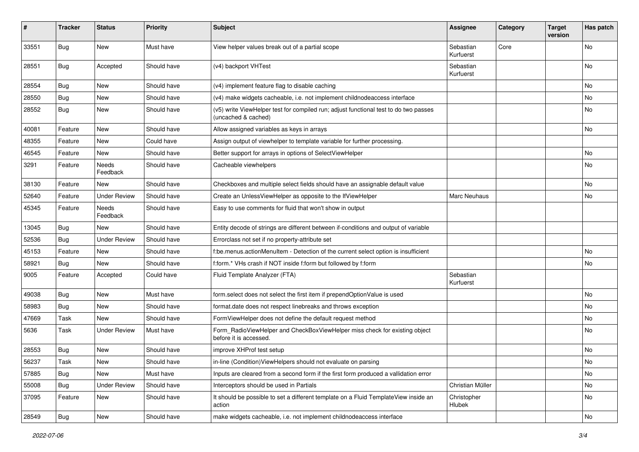| $\pmb{\#}$ | <b>Tracker</b> | <b>Status</b>       | <b>Priority</b> | <b>Subject</b>                                                                                              | Assignee               | Category | <b>Target</b><br>version | Has patch                    |
|------------|----------------|---------------------|-----------------|-------------------------------------------------------------------------------------------------------------|------------------------|----------|--------------------------|------------------------------|
| 33551      | Bug            | New                 | Must have       | View helper values break out of a partial scope                                                             | Sebastian<br>Kurfuerst | Core     |                          | <b>No</b>                    |
| 28551      | Bug            | Accepted            | Should have     | (v4) backport VHTest                                                                                        | Sebastian<br>Kurfuerst |          |                          | No                           |
| 28554      | Bug            | New                 | Should have     | (v4) implement feature flag to disable caching                                                              |                        |          |                          | No                           |
| 28550      | Bug            | New                 | Should have     | (v4) make widgets cacheable, i.e. not implement childnodeaccess interface                                   |                        |          |                          | <b>No</b>                    |
| 28552      | Bug            | New                 | Should have     | (v5) write ViewHelper test for compiled run; adjust functional test to do two passes<br>(uncached & cached) |                        |          |                          | No                           |
| 40081      | Feature        | New                 | Should have     | Allow assigned variables as keys in arrays                                                                  |                        |          |                          | No                           |
| 48355      | Feature        | New                 | Could have      | Assign output of viewhelper to template variable for further processing.                                    |                        |          |                          |                              |
| 46545      | Feature        | New                 | Should have     | Better support for arrays in options of SelectViewHelper                                                    |                        |          |                          | No                           |
| 3291       | Feature        | Needs<br>Feedback   | Should have     | Cacheable viewhelpers                                                                                       |                        |          |                          | No                           |
| 38130      | Feature        | New                 | Should have     | Checkboxes and multiple select fields should have an assignable default value                               |                        |          |                          | <b>No</b>                    |
| 52640      | Feature        | <b>Under Review</b> | Should have     | Create an UnlessViewHelper as opposite to the IfViewHelper                                                  | Marc Neuhaus           |          |                          | No                           |
| 45345      | Feature        | Needs<br>Feedback   | Should have     | Easy to use comments for fluid that won't show in output                                                    |                        |          |                          |                              |
| 13045      | Bug            | New                 | Should have     | Entity decode of strings are different between if-conditions and output of variable                         |                        |          |                          |                              |
| 52536      | Bug            | <b>Under Review</b> | Should have     | Errorclass not set if no property-attribute set                                                             |                        |          |                          |                              |
| 45153      | Feature        | New                 | Should have     | f:be.menus.actionMenuItem - Detection of the current select option is insufficient                          |                        |          |                          | No                           |
| 58921      | Bug            | New                 | Should have     | f:form.* VHs crash if NOT inside f:form but followed by f:form                                              |                        |          |                          | No                           |
| 9005       | Feature        | Accepted            | Could have      | Fluid Template Analyzer (FTA)                                                                               | Sebastian<br>Kurfuerst |          |                          |                              |
| 49038      | Bug            | New                 | Must have       | form.select does not select the first item if prependOptionValue is used                                    |                        |          |                          | <b>No</b>                    |
| 58983      | Bug            | <b>New</b>          | Should have     | format.date does not respect linebreaks and throws exception                                                |                        |          |                          | No                           |
| 47669      | Task           | New                 | Should have     | FormViewHelper does not define the default request method                                                   |                        |          |                          | No                           |
| 5636       | Task           | <b>Under Review</b> | Must have       | Form_RadioViewHelper and CheckBoxViewHelper miss check for existing object<br>before it is accessed.        |                        |          |                          | No                           |
| 28553      | Bug            | New                 | Should have     | improve XHProf test setup                                                                                   |                        |          |                          | No                           |
| 56237      | Task           | New                 | Should have     | in-line (Condition) View Helpers should not evaluate on parsing                                             |                        |          |                          | $\operatorname{\mathsf{No}}$ |
| 57885      | Bug            | New                 | Must have       | Inputs are cleared from a second form if the first form produced a vallidation error                        |                        |          |                          | No                           |
| 55008      | Bug            | <b>Under Review</b> | Should have     | Interceptors should be used in Partials                                                                     | Christian Müller       |          |                          | No                           |
| 37095      | Feature        | New                 | Should have     | It should be possible to set a different template on a Fluid TemplateView inside an<br>action               | Christopher<br>Hlubek  |          |                          | No                           |
| 28549      | Bug            | New                 | Should have     | make widgets cacheable, i.e. not implement childnodeaccess interface                                        |                        |          |                          | No                           |